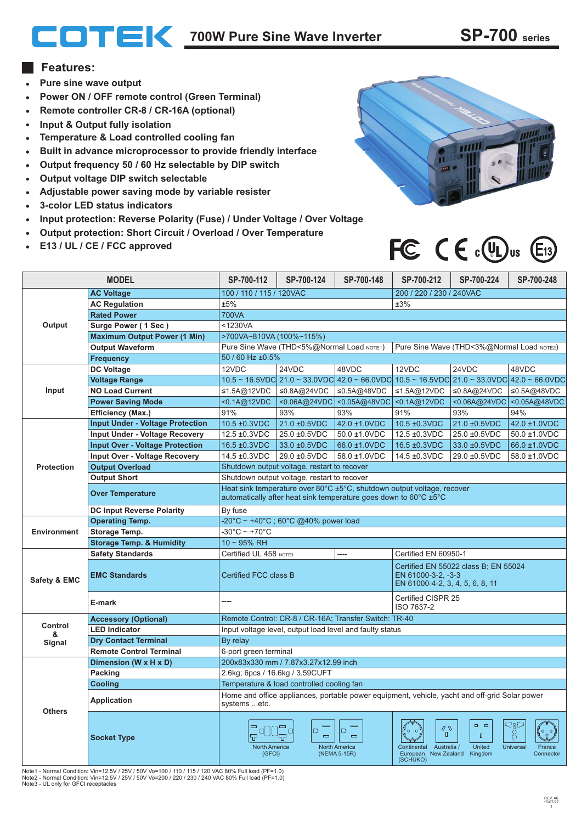# **700W Pure Sine Wave Inverter SP-700 series**

### **Features:**

- **Pure sine wave output**
- **Power ON / OFF remote control (Green Terminal)**
- **Remote controller CR-8 / CR-16A (optional)**
- **Input & Output fully isolation**
- **Temperature & Load controlled cooling fan**  $\bullet$
- **Built in advance microprocessor to provide friendly interface**
- **Output frequency 50 / 60 Hz selectable by DIP switch**  $\bullet$
- **Output voltage DIP switch selectable**  $\bullet$
- **Adjustable power saving mode by variable resister**
- **3-color LED status indicators**
- **Input protection: Reverse Polarity (Fuse) / Under Voltage / Over Voltage**
- **Output protection: Short Circuit / Overload / Over Temperature**
- **E13 / UL / CE / FCC approved**



FC  $C \in \mathbb{C}(\mathbb{R})$ us

#### **MODEL SP-700-112 SP-700-124 SP-700-148 SP-700-212 SP-700-224 SP-700-248 AC Voltage** 100 / 110 / 115 / 120VAC 200 / 220 / 230 / 240VAC **AC Regulation** ±5% ±3% **Rated Power** 700VA **Output Surge Power ( 1 Sec )** <1230VA >700VA~810VA (100%~115%) **Maximum Output Power (1 Min)** Pure Sine Wave (THD<5%@Normal Load NOTE1) Pure Sine Wave (THD<3%@Normal Load NOTE2) **Output Waveform** 50 / 60 Hz ±0.5% **Frequency DC Voltage** 48VDC 12VDC 24VDC 48VDC 12VDC 24VDC **Voltage Range**  $10.5 \sim 16.5$ VDC  $21.0 \sim 33.0$ VDC  $42.0 \sim 66.0$ VDC  $10.5 \sim 16.5$ VDC  $21.0 \sim 33.0$ VDC 42.0 ~ 66.0VDC **Input NO Load Current** ≤1.5A@12VDC |≤0.8A@24VDC |≤0.5A@48VDC |≤1.5A@12VDC |≤0.8A@24VDC ≤0.5A@48VDC <0.1A@12VDC <0.06A@24VDC <0.05A@48VDC <0.1A@12VDC <0.06A@24VDC **Power Saving Mode** <0.05A@48VDC **Efficiency (Max.)** 94% 91% 93% 93% 91% 93% **Input Under - Voltage Protection** | 10.5 ±0.3VDC | 21.0 ±0.5VDC | 42.0 ±1.0VDC | 10.5 ±0.3VDC | 21.0 ±0.5VDC 42.0 ±1.0VDC **Input Under - Voltage Recovery**  $12.5 \pm 0.3$ VDC 25.0  $\pm 0.5$ VDC 50.0  $\pm 1.0$ VDC 12.5  $\pm 0.3$ VDC 25.0  $\pm 0.5$ VDC 50.0  $\pm 1.0$ VDC **Input Over - Voltage Protection** 16.5 ±0.3VDC 33.0 ±0.5VDC 66.0 ±1.0VDC 16.5 ±0.3VDC 33.0 ±0.5VDC 66.0 ±1.0VDC **Input Over - Voltage Recovery** 14.5 ±0.3VDC 29.0 ±0.5VDC 58.0 ±1.0VDC 14.5 ±0.3VDC 29.0 ±0.5VDC 58.0 ±1.0VDC Shutdown output voltage, restart to recover **Protection Output Overload Output Short** Shutdown output voltage, restart to recover **Over Temperature** Heat sink temperature over 80°C ±5°C, shutdown output voltage, recover<br>Quitomatically after heat sink temperature goes down to 60°C +5°C automatically after heat sink temperature goes down to 60°C ±5°C **DC Input Reverse Polarity** By fuse -20°C ~ +40°C ; 60°C @40% power load **Operating Temp. Environment**  $-30^{\circ}$ C ~ +70 $^{\circ}$ C **Storage Temp. Storage Temp. & Humidity**  $10 - 95%$  RH **Safety Standards** Certified UL 458 NOTE3 | ---- | Certified EN 60950-1 Certified EN 55022 class B; EN 55024 **EMC Standards** Certified FCC class B EN 61000-3-2, -3-3 **Safety & EMC** EN 61000-4-2, 3, 4, 5, 6, 8, 11 Certified CISPR 25 **E-mark** ---- ISO 7637-2 **Accessory (Optional)** Remote Control: CR-8 / CR-16A; Transfer Switch: TR-40 **Control** Input voltage level, output load level and faulty status **LED Indicator & Dry Contact Terminal** By relay **Signal Remote Control Terminal** 6-port green terminal **Dimension (W x H x D)** 200x83x330 mm / 7.87x3.27x12.99 inch **Packing** 2.6kg; 6pcs / 16.6kg / 3.59CUFT **Cooling** Temperature & load controlled cooling fan Home and office appliances, portable power equipment, vehicle, yacht and off-grid Solar power **Application** systems ...etc. **Others**  $\Box$  $\Box$ ,ang  $\qquad \qquad$  $\equiv$  $\begin{smallmatrix} \oslash & \mathbb{Q} \\ & \mathbb{Q} \end{smallmatrix}$ ld  $\subset$  $\Box$  $\frac{1}{2}$ 0 o Š  $\equiv$  $\equiv$  $\Box$ **Socket Type United** Australia / North America North America France Continental Australia / United Universal<br>European New-Zealand Kingdom (GFCI) (NEMA 5-15R) Connector European (SCHUKO)

Note1 - Normal Condition: Vin=12.5V / 25V / 50V Vo=100 / 110 / 115 / 120 VAC 80% Full load (PF=1.0) Note2 - Normal Condition: Vin=12.5V / 25V / 50V Vo=200 / 220 / 230 / 240 VAC 80% Full load (PF=1.0) Note3 - UL only for GFCI receptacles